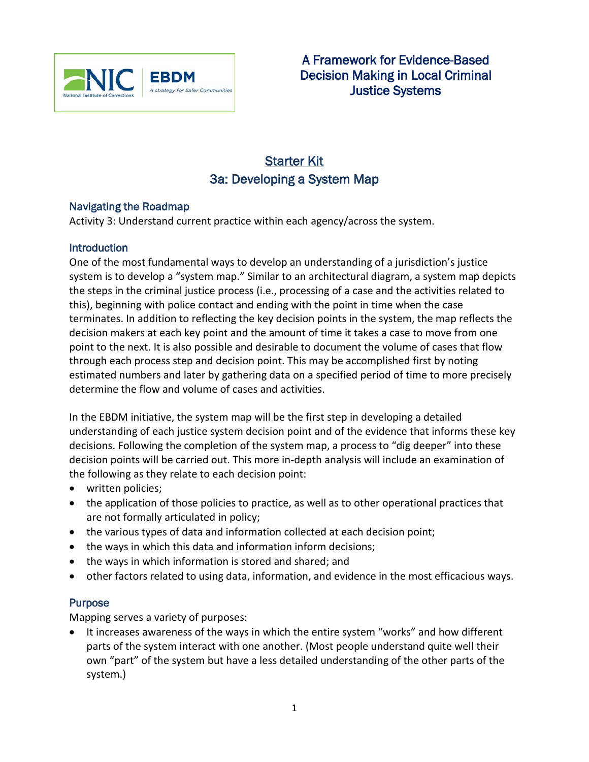

# Starter Kit 3a: Developing a System Map

#### Navigating the Roadmap

Activity 3: Understand current practice within each agency/across the system.

### **Introduction**

One of the most fundamental ways to develop an understanding of a jurisdiction's justice system is to develop a "system map." Similar to an architectural diagram, a system map depicts the steps in the criminal justice process (i.e., processing of a case and the activities related to this), beginning with police contact and ending with the point in time when the case terminates. In addition to reflecting the key decision points in the system, the map reflects the decision makers at each key point and the amount of time it takes a case to move from one point to the next. It is also possible and desirable to document the volume of cases that flow through each process step and decision point. This may be accomplished first by noting estimated numbers and later by gathering data on a specified period of time to more precisely determine the flow and volume of cases and activities.

In the EBDM initiative, the system map will be the first step in developing a detailed understanding of each justice system decision point and of the evidence that informs these key decisions. Following the completion of the system map, a process to "dig deeper" into these decision points will be carried out. This more in-depth analysis will include an examination of the following as they relate to each decision point:

- written policies;
- the application of those policies to practice, as well as to other operational practices that are not formally articulated in policy;
- the various types of data and information collected at each decision point;
- the ways in which this data and information inform decisions;
- the ways in which information is stored and shared; and
- other factors related to using data, information, and evidence in the most efficacious ways.

## Purpose

Mapping serves a variety of purposes:

• It increases awareness of the ways in which the entire system "works" and how different parts of the system interact with one another. (Most people understand quite well their own "part" of the system but have a less detailed understanding of the other parts of the system.)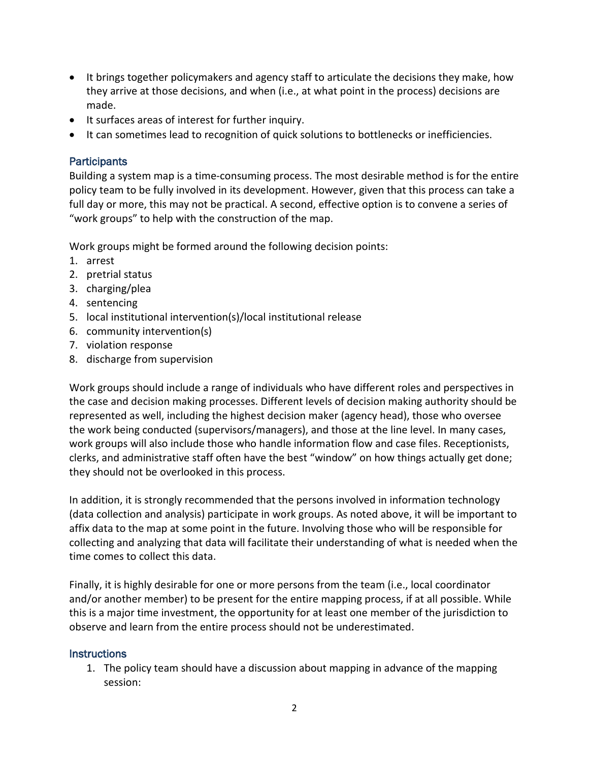- It brings together policymakers and agency staff to articulate the decisions they make, how they arrive at those decisions, and when (i.e., at what point in the process) decisions are made.
- It surfaces areas of interest for further inquiry.
- It can sometimes lead to recognition of quick solutions to bottlenecks or inefficiencies.

### **Participants**

Building a system map is a time-consuming process. The most desirable method is for the entire policy team to be fully involved in its development. However, given that this process can take a full day or more, this may not be practical. A second, effective option is to convene a series of "work groups" to help with the construction of the map.

Work groups might be formed around the following decision points:

- 1. arrest
- 2. pretrial status
- 3. charging/plea
- 4. sentencing
- 5. local institutional intervention(s)/local institutional release
- 6. community intervention(s)
- 7. violation response
- 8. discharge from supervision

Work groups should include a range of individuals who have different roles and perspectives in the case and decision making processes. Different levels of decision making authority should be represented as well, including the highest decision maker (agency head), those who oversee the work being conducted (supervisors/managers), and those at the line level. In many cases, work groups will also include those who handle information flow and case files. Receptionists, clerks, and administrative staff often have the best "window" on how things actually get done; they should not be overlooked in this process.

In addition, it is strongly recommended that the persons involved in information technology (data collection and analysis) participate in work groups. As noted above, it will be important to affix data to the map at some point in the future. Involving those who will be responsible for collecting and analyzing that data will facilitate their understanding of what is needed when the time comes to collect this data.

Finally, it is highly desirable for one or more persons from the team (i.e., local coordinator and/or another member) to be present for the entire mapping process, if at all possible. While this is a major time investment, the opportunity for at least one member of the jurisdiction to observe and learn from the entire process should not be underestimated.

#### **Instructions**

1. The policy team should have a discussion about mapping in advance of the mapping session: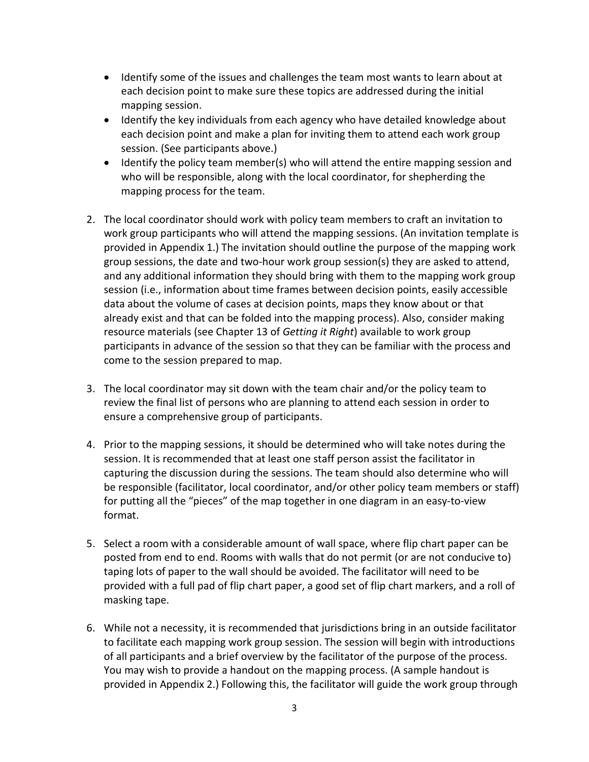- Identify some of the issues and challenges the team most wants to learn about at each decision point to make sure these topics are addressed during the initial mapping session.
- Identify the key individuals from each agency who have detailed knowledge about each decision point and make a plan for inviting them to attend each work group session. (See participants above.)
- Identify the policy team member(s) who will attend the entire mapping session and who will be responsible, along with the local coordinator, for shepherding the mapping process for the team.
- 2. The local coordinator should work with policy team members to craft an invitation to work group participants who will attend the mapping sessions. (An invitation template is provided in Appendix 1.) The invitation should outline the purpose of the mapping work group sessions, the date and two-hour work group session(s) they are asked to attend, and any additional information they should bring with them to the mapping work group session (i.e., information about time frames between decision points, easily accessible data about the volume of cases at decision points, maps they know about or that already exist and that can be folded into the mapping process). Also, consider making resource materials (see Chapter 13 of *Getting it Right*) available to work group participants in advance of the session so that they can be familiar with the process and come to the session prepared to map.
- 3. The local coordinator may sit down with the team chair and/or the policy team to review the final list of persons who are planning to attend each session in order to ensure a comprehensive group of participants.
- 4. Prior to the mapping sessions, it should be determined who will take notes during the session. It is recommended that at least one staff person assist the facilitator in capturing the discussion during the sessions. The team should also determine who will be responsible (facilitator, local coordinator, and/or other policy team members or staff) for putting all the "pieces" of the map together in one diagram in an easy-to-view format.
- 5. Select a room with a considerable amount of wall space, where flip chart paper can be posted from end to end. Rooms with walls that do not permit (or are not conducive to) taping lots of paper to the wall should be avoided. The facilitator will need to be provided with a full pad of flip chart paper, a good set of flip chart markers, and a roll of masking tape.
- 6. While not a necessity, it is recommended that jurisdictions bring in an outside facilitator to facilitate each mapping work group session. The session will begin with introductions of all participants and a brief overview by the facilitator of the purpose of the process. You may wish to provide a handout on the mapping process. (A sample handout is provided in Appendix 2.) Following this, the facilitator will guide the work group through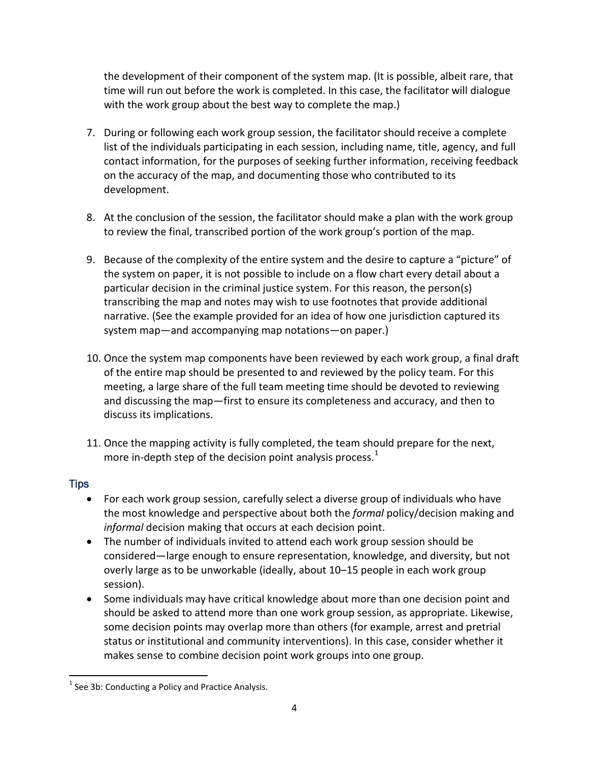the development of their component of the system map. (It is possible, albeit rare, that time will run out before the work is completed. In this case, the facilitator will dialogue with the work group about the best way to complete the map.)

- 7. During or following each work group session, the facilitator should receive a complete list of the individuals participating in each session, including name, title, agency, and full contact information, for the purposes of seeking further information, receiving feedback on the accuracy of the map, and documenting those who contributed to its development.
- 8. At the conclusion of the session, the facilitator should make a plan with the work group to review the final, transcribed portion of the work group's portion of the map.
- 9. Because of the complexity of the entire system and the desire to capture a "picture" of the system on paper, it is not possible to include on a flow chart every detail about a particular decision in the criminal justice system. For this reason, the person(s) transcribing the map and notes may wish to use footnotes that provide additional narrative. (See the example provided for an idea of how one jurisdiction captured its system map—and accompanying map notations—on paper.)
- 10. Once the system map components have been reviewed by each work group, a final draft of the entire map should be presented to and reviewed by the policy team. For this meeting, a large share of the full team meeting time should be devoted to reviewing and discussing the map—first to ensure its completeness and accuracy, and then to discuss its implications.
- 11. Once the mapping activity is fully completed, the team should prepare for the next, more in-depth step of the decision point analysis process. $1$

## **Tips**

- For each work group session, carefully select a diverse group of individuals who have the most knowledge and perspective about both the *formal* policy/decision making and *informal* decision making that occurs at each decision point.
- The number of individuals invited to attend each work group session should be considered—large enough to ensure representation, knowledge, and diversity, but not overly large as to be unworkable (ideally, about 10–15 people in each work group session).
- Some individuals may have critical knowledge about more than one decision point and should be asked to attend more than one work group session, as appropriate. Likewise, some decision points may overlap more than others (for example, arrest and pretrial status or institutional and community interventions). In this case, consider whether it makes sense to combine decision point work groups into one group.

 $1$  See 3b: Conducting a Policy and Practice Analysis.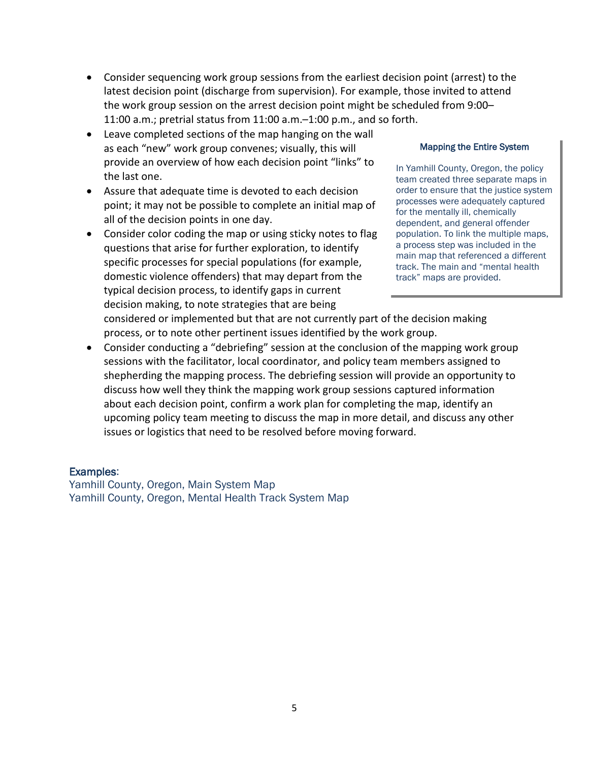- Consider sequencing work group sessions from the earliest decision point (arrest) to the latest decision point (discharge from supervision). For example, those invited to attend the work group session on the arrest decision point might be scheduled from 9:00– 11:00 a.m.; pretrial status from 11:00 a.m.–1:00 p.m., and so forth.
- Leave completed sections of the map hanging on the wall as each "new" work group convenes; visually, this will provide an overview of how each decision point "links" to the last one.
- Assure that adequate time is devoted to each decision point; it may not be possible to complete an initial map of all of the decision points in one day.
- Consider color coding the map or using sticky notes to flag questions that arise for further exploration, to identify specific processes for special populations (for example, domestic violence offenders) that may depart from the typical decision process, to identify gaps in current decision making, to note strategies that are being

#### Mapping the Entire System

In Yamhill County, Oregon, the policy team created three separate maps in order to ensure that the justice system processes were adequately captured for the mentally ill, chemically dependent, and general offender population. To link the multiple maps, a process step was included in the main map that referenced a different track. The main and "mental health track" maps are provided.

considered or implemented but that are not currently part of the decision making process, or to note other pertinent issues identified by the work group.

• Consider conducting a "debriefing" session at the conclusion of the mapping work group sessions with the facilitator, local coordinator, and policy team members assigned to shepherding the mapping process. The debriefing session will provide an opportunity to discuss how well they think the mapping work group sessions captured information about each decision point, confirm a work plan for completing the map, identify an upcoming policy team meeting to discuss the map in more detail, and discuss any other issues or logistics that need to be resolved before moving forward.

#### Examples:

Yamhill County, Oregon, Main System Map Yamhill County, Oregon, Mental Health Track System Map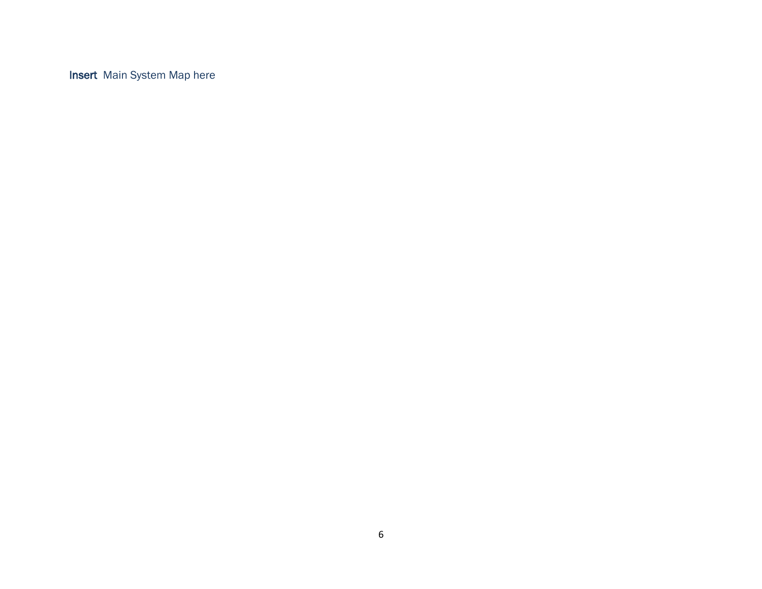Insert Main System Map here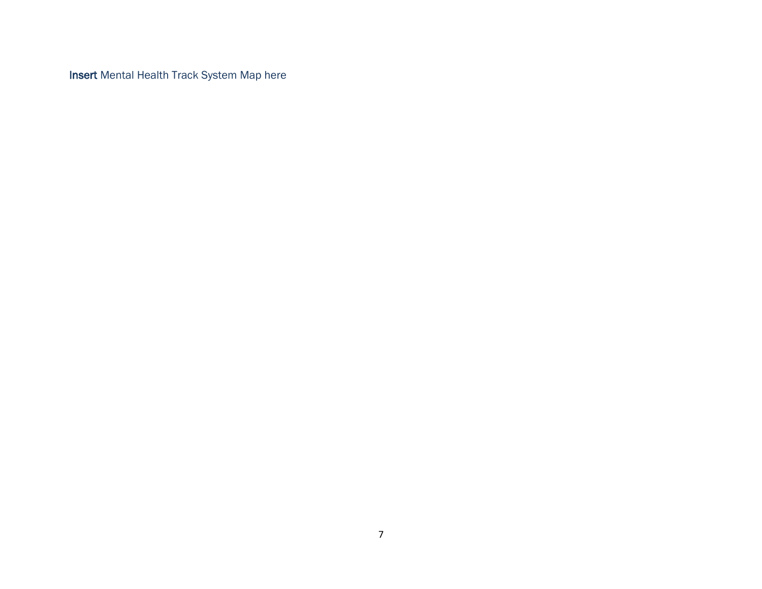Insert Mental Health Track System Map here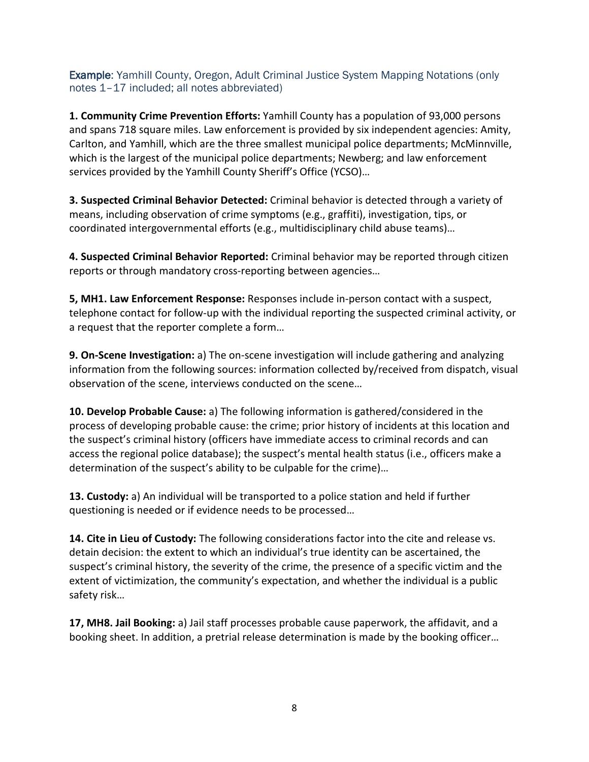Example: Yamhill County, Oregon, Adult Criminal Justice System Mapping Notations (only notes 1–17 included; all notes abbreviated)

**1. Community Crime Prevention Efforts:** Yamhill County has a population of 93,000 persons and spans 718 square miles. Law enforcement is provided by six independent agencies: Amity, Carlton, and Yamhill, which are the three smallest municipal police departments; McMinnville, which is the largest of the municipal police departments; Newberg; and law enforcement services provided by the Yamhill County Sheriff's Office (YCSO)…

**3. Suspected Criminal Behavior Detected:** Criminal behavior is detected through a variety of means, including observation of crime symptoms (e.g., graffiti), investigation, tips, or coordinated intergovernmental efforts (e.g., multidisciplinary child abuse teams)…

**4. Suspected Criminal Behavior Reported:** Criminal behavior may be reported through citizen reports or through mandatory cross-reporting between agencies…

**5, MH1. Law Enforcement Response:** Responses include in-person contact with a suspect, telephone contact for follow-up with the individual reporting the suspected criminal activity, or a request that the reporter complete a form…

**9. On-Scene Investigation:** a) The on-scene investigation will include gathering and analyzing information from the following sources: information collected by/received from dispatch, visual observation of the scene, interviews conducted on the scene…

**10. Develop Probable Cause:** a) The following information is gathered/considered in the process of developing probable cause: the crime; prior history of incidents at this location and the suspect's criminal history (officers have immediate access to criminal records and can access the regional police database); the suspect's mental health status (i.e., officers make a determination of the suspect's ability to be culpable for the crime)…

**13. Custody:** a) An individual will be transported to a police station and held if further questioning is needed or if evidence needs to be processed…

**14. Cite in Lieu of Custody:** The following considerations factor into the cite and release vs. detain decision: the extent to which an individual's true identity can be ascertained, the suspect's criminal history, the severity of the crime, the presence of a specific victim and the extent of victimization, the community's expectation, and whether the individual is a public safety risk…

**17, MH8. Jail Booking:** a) Jail staff processes probable cause paperwork, the affidavit, and a booking sheet. In addition, a pretrial release determination is made by the booking officer…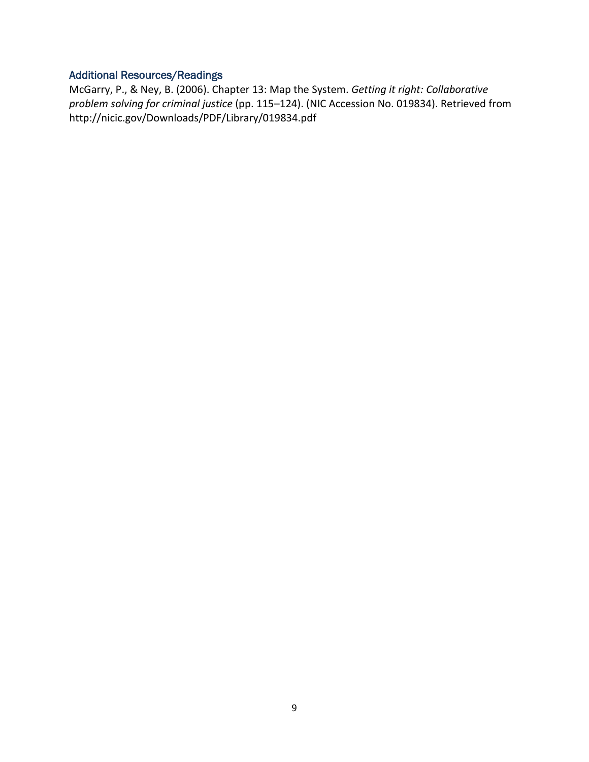### Additional Resources/Readings

McGarry, P., & Ney, B. (2006). Chapter 13: Map the System. *Getting it right: Collaborative problem solving for criminal justice* (pp. 115–124). (NIC Accession No. 019834). Retrieved from http://nicic.gov/Downloads/PDF/Library/019834.pdf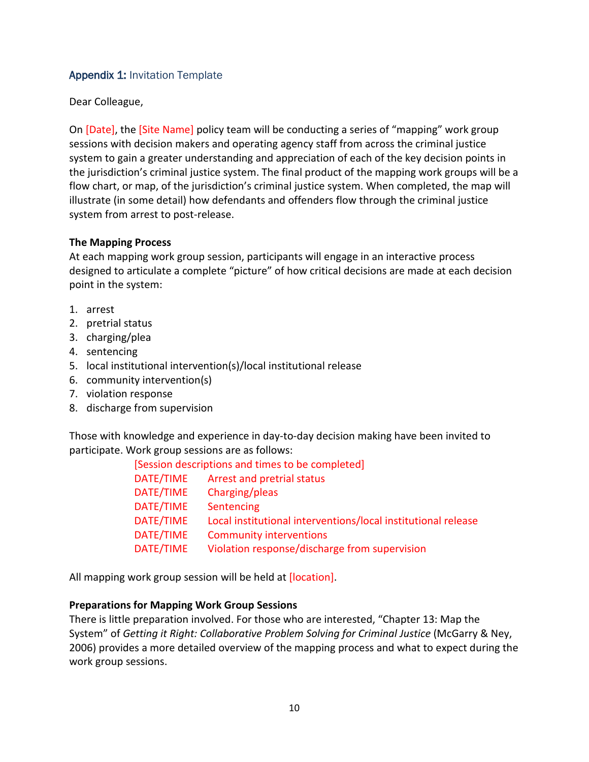### Appendix 1: Invitation Template

Dear Colleague,

On [Date], the [Site Name] policy team will be conducting a series of "mapping" work group sessions with decision makers and operating agency staff from across the criminal justice system to gain a greater understanding and appreciation of each of the key decision points in the jurisdiction's criminal justice system. The final product of the mapping work groups will be a flow chart, or map, of the jurisdiction's criminal justice system. When completed, the map will illustrate (in some detail) how defendants and offenders flow through the criminal justice system from arrest to post-release.

#### **The Mapping Process**

At each mapping work group session, participants will engage in an interactive process designed to articulate a complete "picture" of how critical decisions are made at each decision point in the system:

- 1. arrest
- 2. pretrial status
- 3. charging/plea
- 4. sentencing
- 5. local institutional intervention(s)/local institutional release
- 6. community intervention(s)
- 7. violation response
- 8. discharge from supervision

Those with knowledge and experience in day-to-day decision making have been invited to participate. Work group sessions are as follows:

| [Session descriptions and times to be completed] |                                                               |
|--------------------------------------------------|---------------------------------------------------------------|
| DATE/TIME                                        | Arrest and pretrial status                                    |
| DATE/TIME                                        | Charging/pleas                                                |
| DATE/TIME                                        | Sentencing                                                    |
| DATE/TIME                                        | Local institutional interventions/local institutional release |
| DATE/TIME                                        | <b>Community interventions</b>                                |
| DATE/TIME                                        | Violation response/discharge from supervision                 |
|                                                  |                                                               |

All mapping work group session will be held at [location].

#### **Preparations for Mapping Work Group Sessions**

There is little preparation involved. For those who are interested, "Chapter 13: Map the System" of *Getting it Right: Collaborative Problem Solving for Criminal Justice* (McGarry & Ney, 2006) provides a more detailed overview of the mapping process and what to expect during the work group sessions.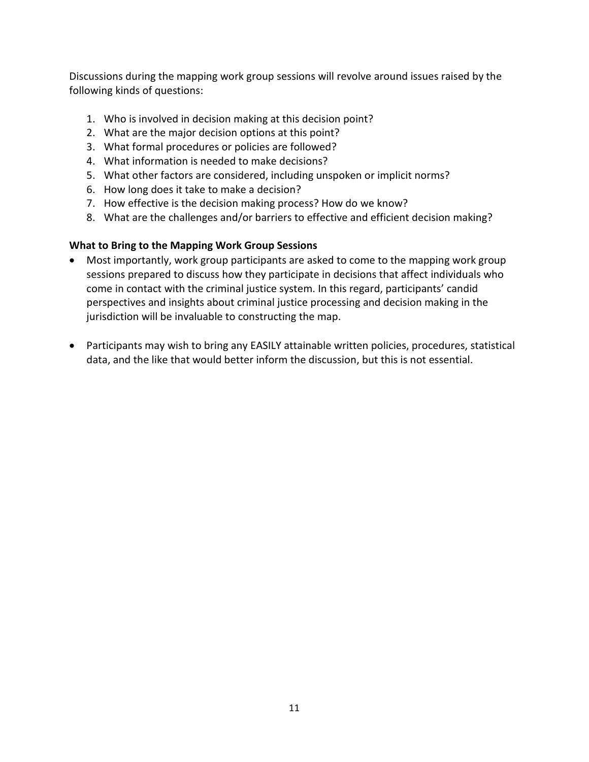Discussions during the mapping work group sessions will revolve around issues raised by the following kinds of questions:

- 1. Who is involved in decision making at this decision point?
- 2. What are the major decision options at this point?
- 3. What formal procedures or policies are followed?
- 4. What information is needed to make decisions?
- 5. What other factors are considered, including unspoken or implicit norms?
- 6. How long does it take to make a decision?
- 7. How effective is the decision making process? How do we know?
- 8. What are the challenges and/or barriers to effective and efficient decision making?

### **What to Bring to the Mapping Work Group Sessions**

- Most importantly, work group participants are asked to come to the mapping work group sessions prepared to discuss how they participate in decisions that affect individuals who come in contact with the criminal justice system. In this regard, participants' candid perspectives and insights about criminal justice processing and decision making in the jurisdiction will be invaluable to constructing the map.
- Participants may wish to bring any EASILY attainable written policies, procedures, statistical data, and the like that would better inform the discussion, but this is not essential.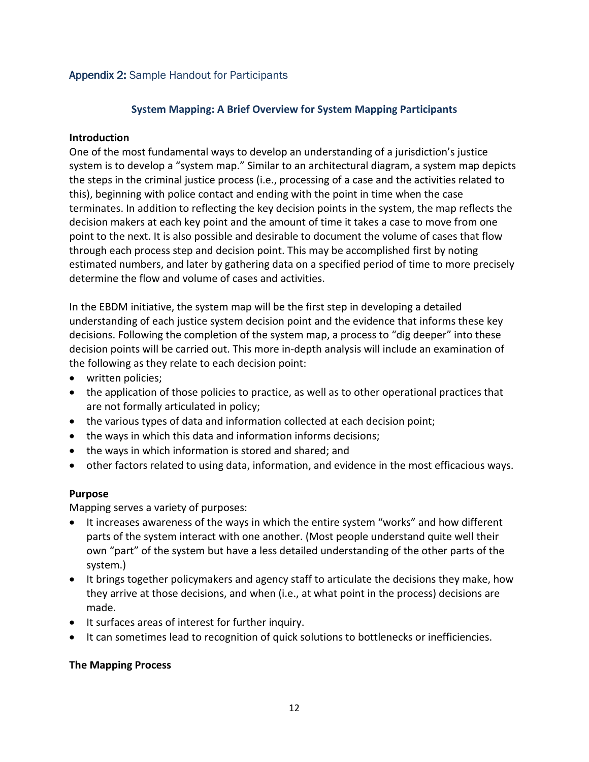### Appendix 2: Sample Handout for Participants

#### **System Mapping: A Brief Overview for System Mapping Participants**

#### **Introduction**

One of the most fundamental ways to develop an understanding of a jurisdiction's justice system is to develop a "system map." Similar to an architectural diagram, a system map depicts the steps in the criminal justice process (i.e., processing of a case and the activities related to this), beginning with police contact and ending with the point in time when the case terminates. In addition to reflecting the key decision points in the system, the map reflects the decision makers at each key point and the amount of time it takes a case to move from one point to the next. It is also possible and desirable to document the volume of cases that flow through each process step and decision point. This may be accomplished first by noting estimated numbers, and later by gathering data on a specified period of time to more precisely determine the flow and volume of cases and activities.

In the EBDM initiative, the system map will be the first step in developing a detailed understanding of each justice system decision point and the evidence that informs these key decisions. Following the completion of the system map, a process to "dig deeper" into these decision points will be carried out. This more in-depth analysis will include an examination of the following as they relate to each decision point:

- written policies;
- the application of those policies to practice, as well as to other operational practices that are not formally articulated in policy;
- the various types of data and information collected at each decision point;
- the ways in which this data and information informs decisions;
- the ways in which information is stored and shared; and
- other factors related to using data, information, and evidence in the most efficacious ways.

#### **Purpose**

Mapping serves a variety of purposes:

- It increases awareness of the ways in which the entire system "works" and how different parts of the system interact with one another. (Most people understand quite well their own "part" of the system but have a less detailed understanding of the other parts of the system.)
- It brings together policymakers and agency staff to articulate the decisions they make, how they arrive at those decisions, and when (i.e., at what point in the process) decisions are made.
- It surfaces areas of interest for further inquiry.
- It can sometimes lead to recognition of quick solutions to bottlenecks or inefficiencies.

#### **The Mapping Process**